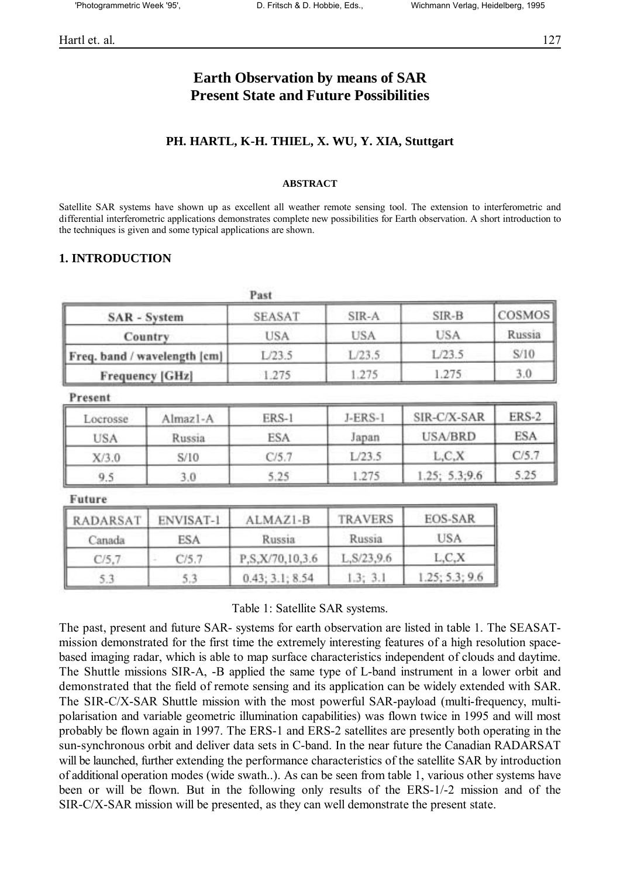# **Earth Observation by means of SAR Present State and Future Possibilities**

#### **PH. HARTL, K-H. THIEL, X. WU, Y. XIA, Stuttgart**

#### **ABSTRACT**

Satellite SAR systems have shown up as excellent all weather remote sensing tool. The extension to interferometric and differential interferometric applications demonstrates complete new possibilities for Earth observation. A short introduction to the techniques is given and some typical applications are shown.

#### **1. INTRODUCTION**

|                              | Past          |        |        |        |
|------------------------------|---------------|--------|--------|--------|
| <b>SAR</b> - System          | <b>SEASAT</b> | SIR-A  | SIR-B  | COSMOS |
| Country                      | <b>USA</b>    | USA    | USA    | Russia |
| Freq. band / wavelength [cm] | L/23.5        | L/23.5 | L/23.5 | S/10   |
| <b>Frequency [GHz]</b>       | 1.275         | .275   | 1.275  | 3.0    |

Present

| Locrosse   | Almaz <sub>1</sub> -A | ERS-1 | $J-ERS-1$ | SIR-C/X-SAR    | <b>ERS-2</b> |  |
|------------|-----------------------|-------|-----------|----------------|--------------|--|
| <b>USA</b> | Russia                | ESA   |           | <b>USA/BRD</b> | <b>ESA</b>   |  |
| X/3.0      | S/10                  | C/5.7 | L/23.5    | L, C, X        | C/5.7        |  |
| 9.5        | 3.0                   | 5.25  | .275      | 1.25; 5.3; 9.6 | 5.25         |  |

Future

| <b>RADARSAT</b> | <b>ENVISAT-1</b> | ALMAZI-B        | <b>TRAVERS</b> | <b>EOS-SAR</b> |
|-----------------|------------------|-----------------|----------------|----------------|
| Canada          | ESA              | Russia          | Russia         | USA            |
| C/5.7           | C/5.7            | P.S.X/70,10,3.6 | L.S/23,9.6     | L, C, X        |
| 5.3             | 5.3              | 0.43; 3.1; 8.54 | 1.3; 3.1       | 1.25; 5.3; 9.6 |

Table 1: Satellite SAR systems.

The past, present and future SAR- systems for earth observation are listed in table 1. The SEASATmission demonstrated for the first time the extremely interesting features of a high resolution spacebased imaging radar, which is able to map surface characteristics independent of clouds and daytime. The Shuttle missions SIR-A, -B applied the same type of L-band instrument in a lower orbit and demonstrated that the field of remote sensing and its application can be widely extended with SAR. The SIR-C/X-SAR Shuttle mission with the most powerful SAR-payload (multi-frequency, multipolarisation and variable geometric illumination capabilities) was flown twice in 1995 and will most probably be flown again in 1997. The ERS-1 and ERS-2 satellites are presently both operating in the sun-synchronous orbit and deliver data sets in C-band. In the near future the Canadian RADARSAT will be launched, further extending the performance characteristics of the satellite SAR by introduction of additional operation modes (wide swath..). As can be seen from table 1, various other systems have been or will be flown. But in the following only results of the ERS-1/-2 mission and of the SIR-C/X-SAR mission will be presented, as they can well demonstrate the present state.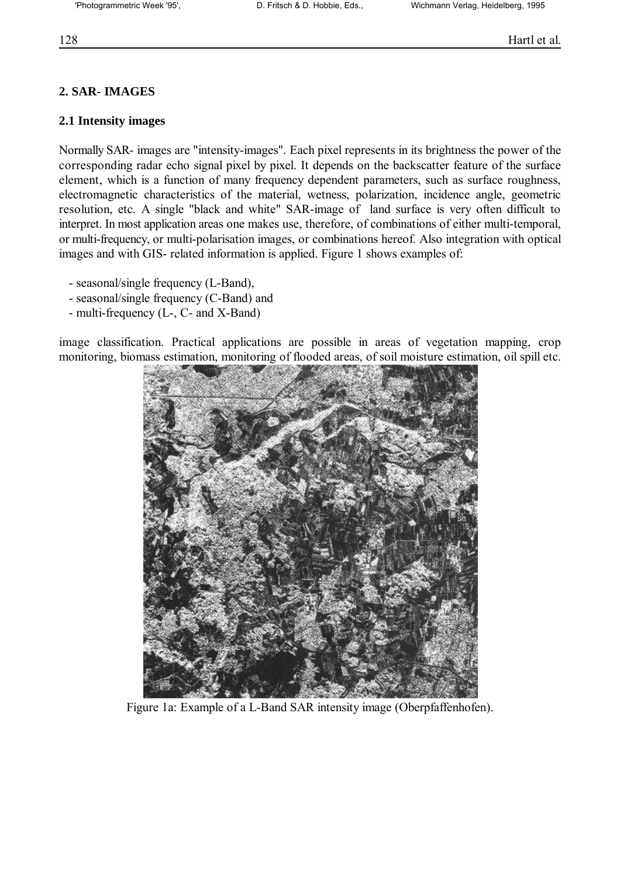# **2. SAR- IMAGES**

## **2.1 Intensity images**

Normally SAR- images are "intensity-images". Each pixel represents in its brightness the power of the corresponding radar echo signal pixel by pixel. It depends on the backscatter feature of the surface element, which is a function of many frequency dependent parameters, such as surface roughness, electromagnetic characteristics of the material, wetness, polarization, incidence angle, geometric resolution, etc. A single "black and white" SAR-image of land surface is very often difficult to interpret. In most application areas one makes use, therefore, of combinations of either multi-temporal, or multi-frequency, or multi-polarisation images, or combinations hereof. Also integration with optical images and with GIS- related information is applied. Figure 1 shows examples of:

- seasonal/single frequency (L-Band),
- seasonal/single frequency (C-Band) and
- multi-frequency (L-, C- and X-Band)

image classification. Practical applications are possible in areas of vegetation mapping, crop monitoring, biomass estimation, monitoring of flooded areas, of soil moisture estimation, oil spill etc.



Figure 1a: Example of a L-Band SAR intensity image (Oberpfaffenhofen).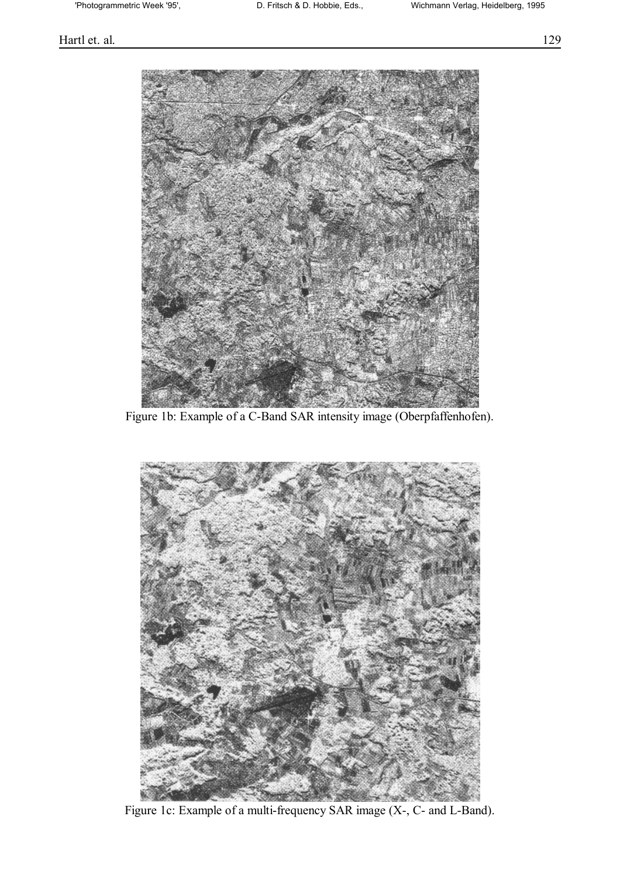### Hartl et. al. 129



Figure 1b: Example of a C-Band SAR intensity image (Oberpfaffenhofen).



Figure 1c: Example of a multi-frequency SAR image (X-, C- and L-Band).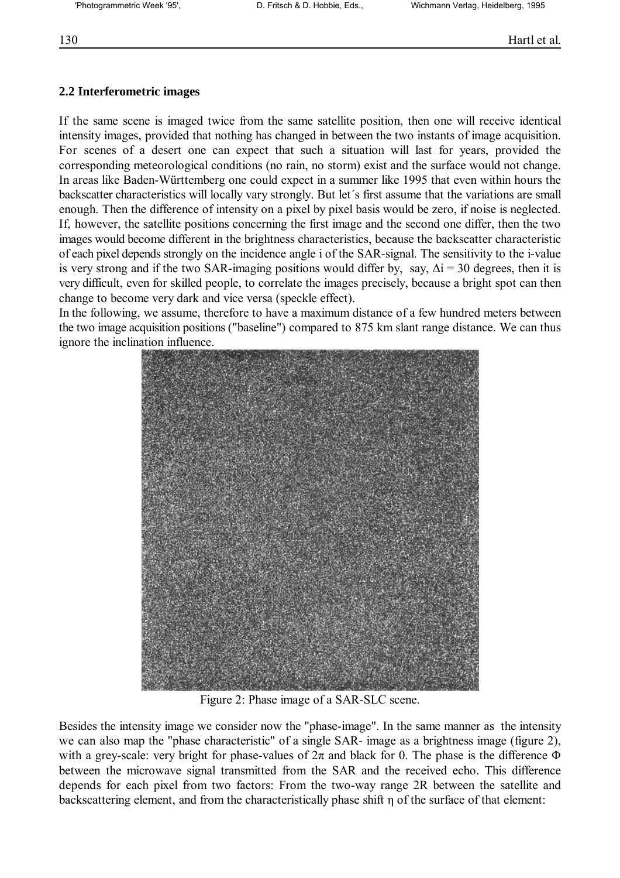# **2.2 Interferometric images**

If the same scene is imaged twice from the same satellite position, then one will receive identical intensity images, provided that nothing has changed in between the two instants of image acquisition. For scenes of a desert one can expect that such a situation will last for years, provided the corresponding meteorological conditions (no rain, no storm) exist and the surface would not change. In areas like Baden-Württemberg one could expect in a summer like 1995 that even within hours the backscatter characteristics will locally vary strongly. But let's first assume that the variations are small enough. Then the difference of intensity on a pixel by pixel basis would be zero, if noise is neglected. If, however, the satellite positions concerning the first image and the second one differ, then the two images would become different in the brightness characteristics, because the backscatter characteristic of each pixel depends strongly on the incidence angle i of the SAR-signal. The sensitivity to the i-value is very strong and if the two SAR-imaging positions would differ by, say,  $\Delta i = 30$  degrees, then it is very difficult, even for skilled people, to correlate the images precisely, because a bright spot can then change to become very dark and vice versa (speckle effect).

In the following, we assume, therefore to have a maximum distance of a few hundred meters between the two image acquisition positions ("baseline") compared to 875 km slant range distance. We can thus ignore the inclination influence.



Figure 2: Phase image of a SAR-SLC scene.

Besides the intensity image we consider now the "phase-image". In the same manner as the intensity we can also map the "phase characteristic" of a single SAR- image as a brightness image (figure 2), with a grey-scale: very bright for phase-values of  $2\pi$  and black for 0. The phase is the difference  $\Phi$ between the microwave signal transmitted from the SAR and the received echo. This difference depends for each pixel from two factors: From the two-way range 2R between the satellite and backscattering element, and from the characteristically phase shift η of the surface of that element: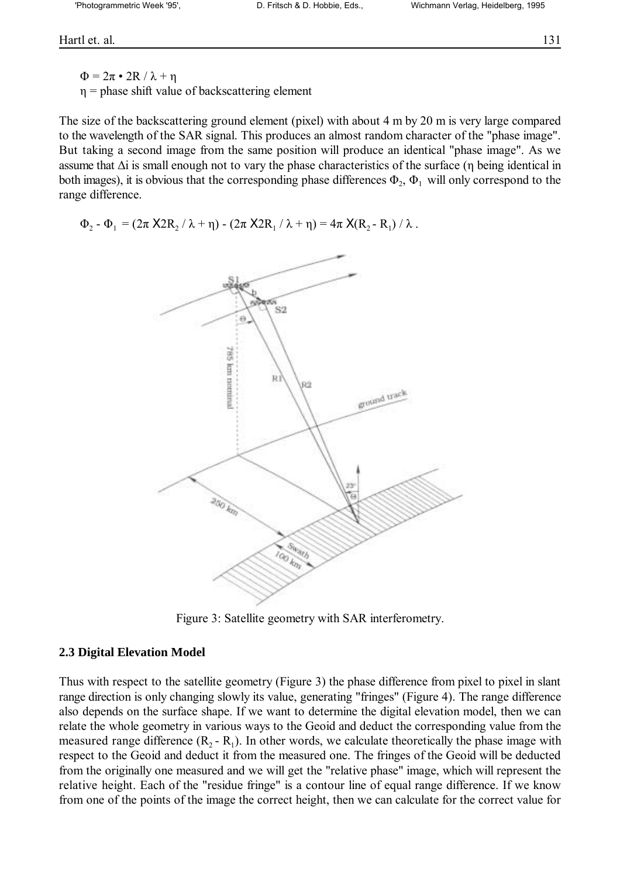Hartl et. al. 131

 $\Phi = 2\pi \cdot 2R / \lambda + \eta$  $\eta$  = phase shift value of backscattering element

The size of the backscattering ground element (pixel) with about 4 m by 20 m is very large compared to the wavelength of the SAR signal. This produces an almost random character of the "phase image". But taking a second image from the same position will produce an identical "phase image". As we assume that ∆i is small enough not to vary the phase characteristics of the surface (η being identical in both images), it is obvious that the corresponding phase differences  $\Phi_2$ ,  $\Phi_1$  will only correspond to the range difference.

 $\Phi_2 - \Phi_1 = (2\pi X 2R_2 / \lambda + \eta) - (2\pi X 2R_1 / \lambda + \eta) = 4\pi X(R_2 - R_1) / \lambda$ .



Figure 3: Satellite geometry with SAR interferometry.

#### **2.3 Digital Elevation Model**

Thus with respect to the satellite geometry (Figure 3) the phase difference from pixel to pixel in slant range direction is only changing slowly its value, generating "fringes" (Figure 4). The range difference also depends on the surface shape. If we want to determine the digital elevation model, then we can relate the whole geometry in various ways to the Geoid and deduct the corresponding value from the measured range difference  $(R_2 - R_1)$ . In other words, we calculate theoretically the phase image with respect to the Geoid and deduct it from the measured one. The fringes of the Geoid will be deducted from the originally one measured and we will get the "relative phase" image, which will represent the relative height. Each of the "residue fringe" is a contour line of equal range difference. If we know from one of the points of the image the correct height, then we can calculate for the correct value for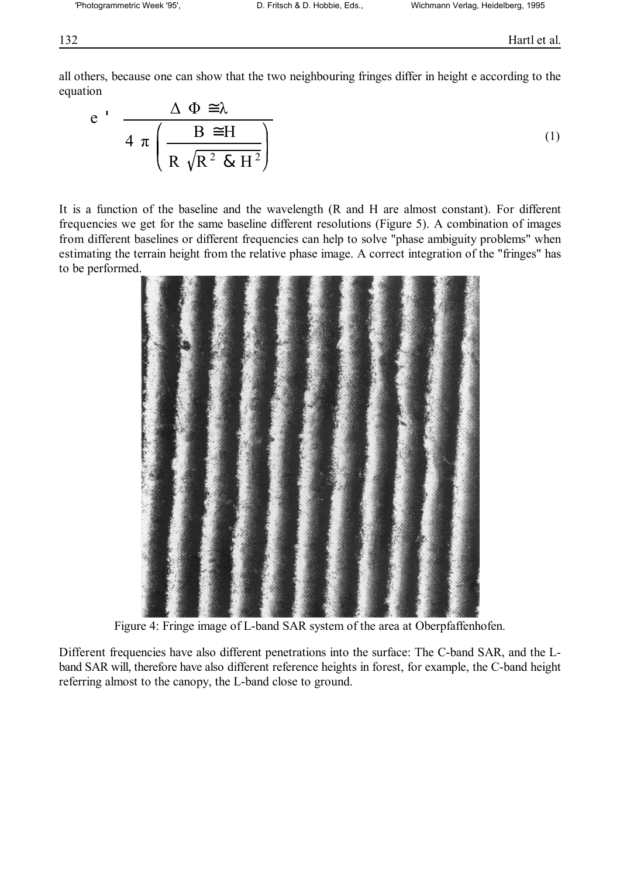all others, because one can show that the two neighbouring fringes differ in height e according to the equation

$$
e' \frac{\Delta \Phi \cong \lambda}{4 \pi \left( \frac{B \cong H}{R \sqrt{R^2 \& H^2}} \right)}
$$
(1)

It is a function of the baseline and the wavelength (R and H are almost constant). For different frequencies we get for the same baseline different resolutions (Figure 5). A combination of images from different baselines or different frequencies can help to solve "phase ambiguity problems" when estimating the terrain height from the relative phase image. A correct integration of the "fringes" has to be performed.



Figure 4: Fringe image of L-band SAR system of the area at Oberpfaffenhofen.

Different frequencies have also different penetrations into the surface: The C-band SAR, and the Lband SAR will, therefore have also different reference heights in forest, for example, the C-band height referring almost to the canopy, the L-band close to ground.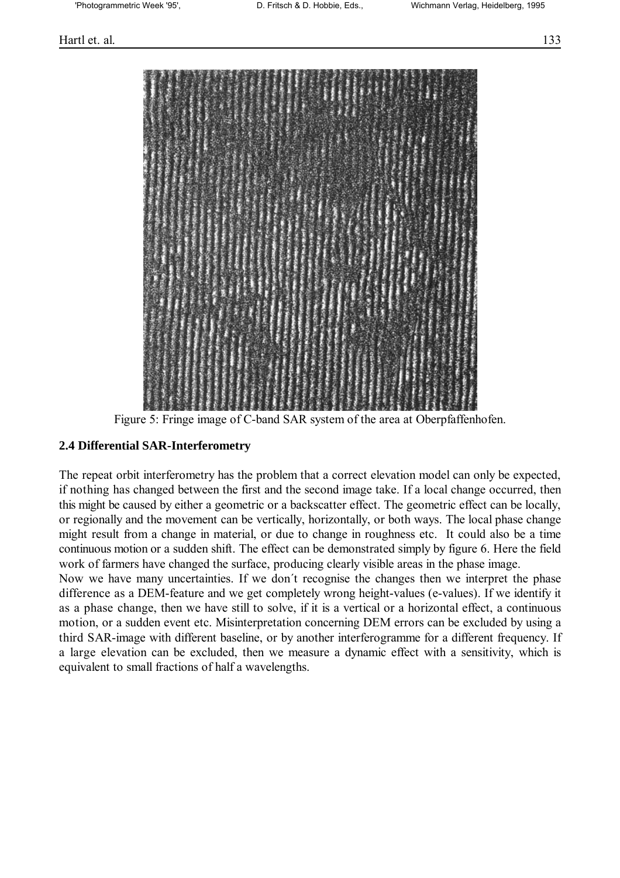



Figure 5: Fringe image of C-band SAR system of the area at Oberpfaffenhofen.

#### **2.4 Differential SAR-Interferometry**

The repeat orbit interferometry has the problem that a correct elevation model can only be expected, if nothing has changed between the first and the second image take. If a local change occurred, then this might be caused by either a geometric or a backscatter effect. The geometric effect can be locally, or regionally and the movement can be vertically, horizontally, or both ways. The local phase change might result from a change in material, or due to change in roughness etc. It could also be a time continuous motion or a sudden shift. The effect can be demonstrated simply by figure 6. Here the field work of farmers have changed the surface, producing clearly visible areas in the phase image.

Now we have many uncertainties. If we don't recognise the changes then we interpret the phase difference as a DEM-feature and we get completely wrong height-values (e-values). If we identify it as a phase change, then we have still to solve, if it is a vertical or a horizontal effect, a continuous motion, or a sudden event etc. Misinterpretation concerning DEM errors can be excluded by using a third SAR-image with different baseline, or by another interferogramme for a different frequency. If a large elevation can be excluded, then we measure a dynamic effect with a sensitivity, which is equivalent to small fractions of half a wavelengths.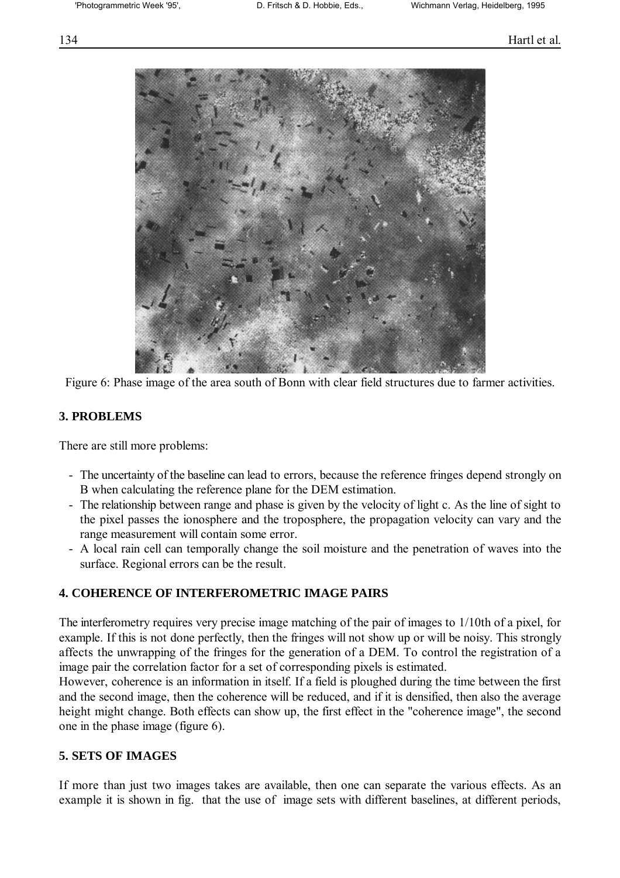

Figure 6: Phase image of the area south of Bonn with clear field structures due to farmer activities.

### **3. PROBLEMS**

There are still more problems:

- The uncertainty of the baseline can lead to errors, because the reference fringes depend strongly on B when calculating the reference plane for the DEM estimation.
- The relationship between range and phase is given by the velocity of light c. As the line of sight to the pixel passes the ionosphere and the troposphere, the propagation velocity can vary and the range measurement will contain some error.
- A local rain cell can temporally change the soil moisture and the penetration of waves into the surface. Regional errors can be the result.

### **4. COHERENCE OF INTERFEROMETRIC IMAGE PAIRS**

The interferometry requires very precise image matching of the pair of images to 1/10th of a pixel, for example. If this is not done perfectly, then the fringes will not show up or will be noisy. This strongly affects the unwrapping of the fringes for the generation of a DEM. To control the registration of a image pair the correlation factor for a set of corresponding pixels is estimated.

However, coherence is an information in itself. If a field is ploughed during the time between the first and the second image, then the coherence will be reduced, and if it is densified, then also the average height might change. Both effects can show up, the first effect in the "coherence image", the second one in the phase image (figure 6).

### **5. SETS OF IMAGES**

If more than just two images takes are available, then one can separate the various effects. As an example it is shown in fig. that the use of image sets with different baselines, at different periods,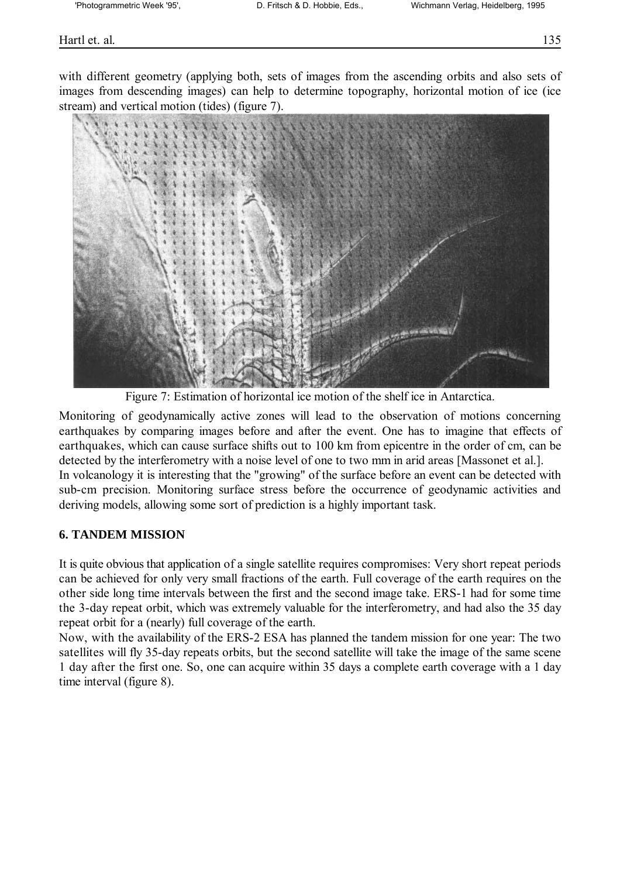Hartl et. al. 135

with different geometry (applying both, sets of images from the ascending orbits and also sets of images from descending images) can help to determine topography, horizontal motion of ice (ice stream) and vertical motion (tides) (figure 7).



Figure 7: Estimation of horizontal ice motion of the shelf ice in Antarctica.

Monitoring of geodynamically active zones will lead to the observation of motions concerning earthquakes by comparing images before and after the event. One has to imagine that effects of earthquakes, which can cause surface shifts out to 100 km from epicentre in the order of cm, can be detected by the interferometry with a noise level of one to two mm in arid areas [Massonet et al.]. In volcanology it is interesting that the "growing" of the surface before an event can be detected with sub-cm precision. Monitoring surface stress before the occurrence of geodynamic activities and deriving models, allowing some sort of prediction is a highly important task.

### **6. TANDEM MISSION**

It is quite obvious that application of a single satellite requires compromises: Very short repeat periods can be achieved for only very small fractions of the earth. Full coverage of the earth requires on the other side long time intervals between the first and the second image take. ERS-1 had for some time the 3-day repeat orbit, which was extremely valuable for the interferometry, and had also the 35 day repeat orbit for a (nearly) full coverage of the earth.

Now, with the availability of the ERS-2 ESA has planned the tandem mission for one year: The two satellites will fly 35-day repeats orbits, but the second satellite will take the image of the same scene 1 day after the first one. So, one can acquire within 35 days a complete earth coverage with a 1 day time interval (figure 8).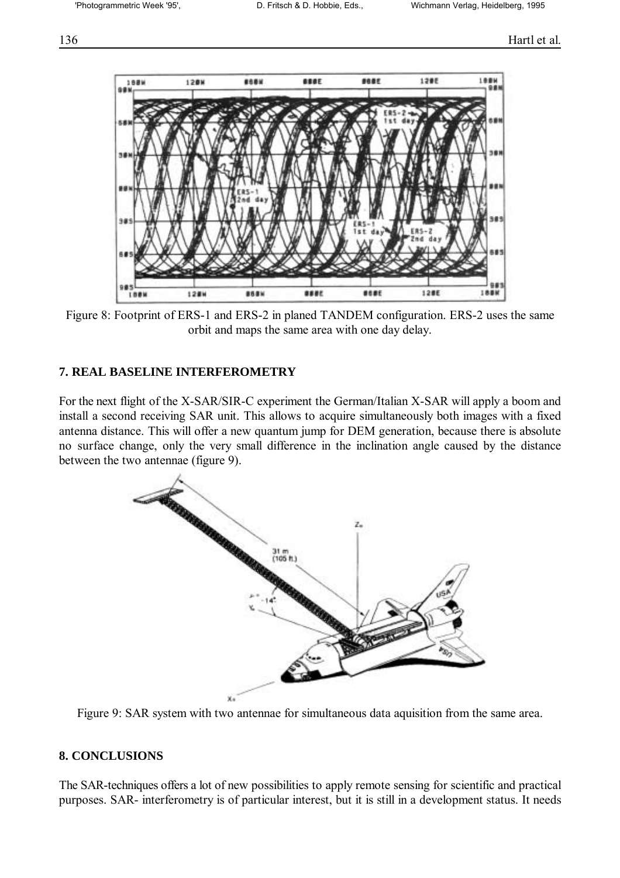

Figure 8: Footprint of ERS-1 and ERS-2 in planed TANDEM configuration. ERS-2 uses the same orbit and maps the same area with one day delay.

#### **7. REAL BASELINE INTERFEROMETRY**

For the next flight of the X-SAR/SIR-C experiment the German/Italian X-SAR will apply a boom and install a second receiving SAR unit. This allows to acquire simultaneously both images with a fixed antenna distance. This will offer a new quantum jump for DEM generation, because there is absolute no surface change, only the very small difference in the inclination angle caused by the distance between the two antennae (figure 9).



Figure 9: SAR system with two antennae for simultaneous data aquisition from the same area.

### **8. CONCLUSIONS**

The SAR-techniques offers a lot of new possibilities to apply remote sensing for scientific and practical purposes. SAR- interferometry is of particular interest, but it is still in a development status. It needs